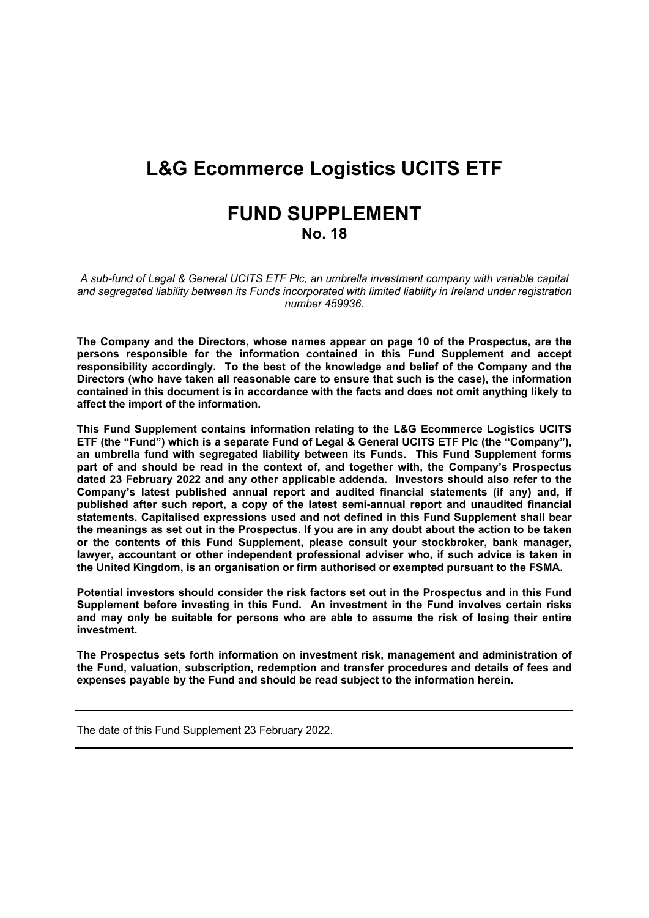# **L&G Ecommerce Logistics UCITS ETF**

# **FUND SUPPLEMENT No. 18**

*A sub-fund of Legal & General UCITS ETF Plc, an umbrella investment company with variable capital and segregated liability between its Funds incorporated with limited liability in Ireland under registration number 459936.*

**The Company and the Directors, whose names appear on page 10 of the Prospectus, are the persons responsible for the information contained in this Fund Supplement and accept responsibility accordingly. To the best of the knowledge and belief of the Company and the Directors (who have taken all reasonable care to ensure that such is the case), the information contained in this document is in accordance with the facts and does not omit anything likely to affect the import of the information.**

**This Fund Supplement contains information relating to the L&G Ecommerce Logistics UCITS ETF (the "Fund") which is a separate Fund of Legal & General UCITS ETF Plc (the "Company"), an umbrella fund with segregated liability between its Funds. This Fund Supplement forms part of and should be read in the context of, and together with, the Company's Prospectus dated 23 February 2022 and any other applicable addenda. Investors should also refer to the Company's latest published annual report and audited financial statements (if any) and, if published after such report, a copy of the latest semi-annual report and unaudited financial statements. Capitalised expressions used and not defined in this Fund Supplement shall bear** the meanings as set out in the Prospectus. If you are in any doubt about the action to be taken **or the contents of this Fund Supplement, please consult your stockbroker, bank manager, lawyer, accountant or other independent professional adviser who, if such advice is taken in the United Kingdom, is an organisation or firm authorised or exempted pursuant to the FSMA.**

**Potential investors should consider the risk factors set out in the Prospectus and in this Fund Supplement before investing in this Fund. An investment in the Fund involves certain risks and may only be suitable for persons who are able to assume the risk of losing their entire investment.**

**The Prospectus sets forth information on investment risk, management and administration of the Fund, valuation, subscription, redemption and transfer procedures and details of fees and expenses payable by the Fund and should be read subject to the information herein.** 

The date of this Fund Supplement 23 February 2022.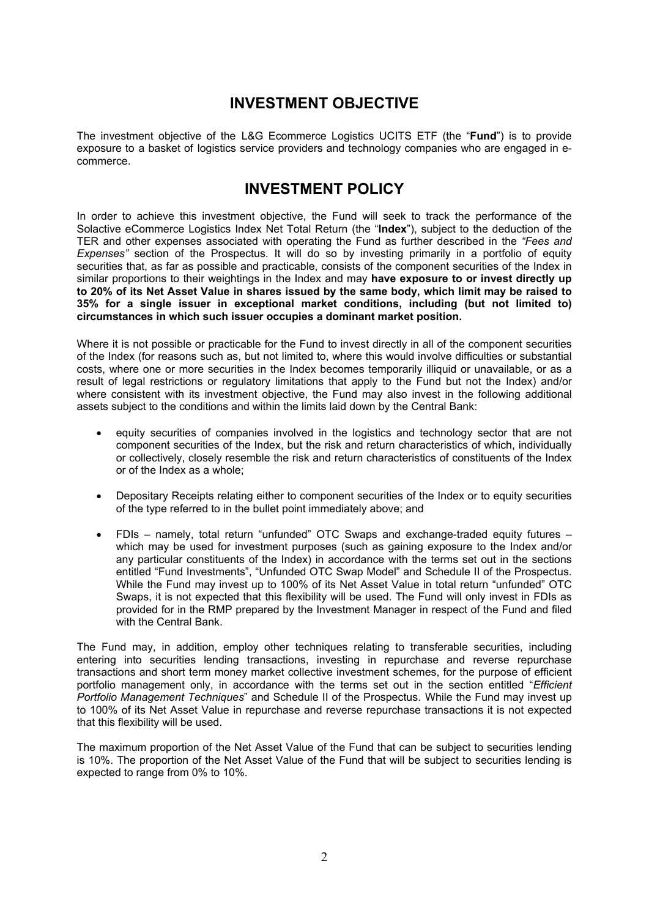### **INVESTMENT OBJECTIVE**

The investment objective of the L&G Ecommerce Logistics UCITS ETF (the "**Fund**") is to provide exposure to a basket of logistics service providers and technology companies who are engaged in ecommerce.

### **INVESTMENT POLICY**

In order to achieve this investment objective, the Fund will seek to track the performance of the Solactive eCommerce Logistics Index Net Total Return (the "**Index**"), subject to the deduction of the TER and other expenses associated with operating the Fund as further described in the *"Fees and Expenses"* section of the Prospectus. It will do so by investing primarily in a portfolio of equity securities that, as far as possible and practicable, consists of the component securities of the Index in similar proportions to their weightings in the Index and may **have exposure to or invest directly up** to 20% of its Net Asset Value in shares issued by the same body, which limit may be raised to **35% for a single issuer in exceptional market conditions, including (but not limited to) circumstances in which such issuer occupies a dominant market position.**

Where it is not possible or practicable for the Fund to invest directly in all of the component securities of the Index (for reasons such as, but not limited to, where this would involve difficulties or substantial costs, where one or more securities in the Index becomes temporarily illiquid or unavailable, or as a result of legal restrictions or regulatory limitations that apply to the Fund but not the Index) and/or where consistent with its investment objective, the Fund may also invest in the following additional assets subject to the conditions and within the limits laid down by the Central Bank:

- equity securities of companies involved in the logistics and technology sector that are not component securities of the Index, but the risk and return characteristics of which, individually or collectively, closely resemble the risk and return characteristics of constituents of the Index or of the Index as a whole;
- Depositary Receipts relating either to component securities of the Index or to equity securities of the type referred to in the bullet point immediately above; and
- FDIs namely, total return "unfunded" OTC Swaps and exchange-traded equity futures which may be used for investment purposes (such as gaining exposure to the Index and/or any particular constituents of the Index) in accordance with the terms set out in the sections entitled "Fund Investments", "Unfunded OTC Swap Model" and Schedule II of the Prospectus. While the Fund may invest up to 100% of its Net Asset Value in total return "unfunded" OTC Swaps, it is not expected that this flexibility will be used. The Fund will only invest in FDIs as provided for in the RMP prepared by the Investment Manager in respect of the Fund and filed with the Central Bank.

The Fund may, in addition, employ other techniques relating to transferable securities, including entering into securities lending transactions, investing in repurchase and reverse repurchase transactions and short term money market collective investment schemes, for the purpose of efficient portfolio management only, in accordance with the terms set out in the section entitled "*Efficient Portfolio Management Techniques*" and Schedule II of the Prospectus. While the Fund may invest up to 100% of its Net Asset Value in repurchase and reverse repurchase transactions it is not expected that this flexibility will be used.

The maximum proportion of the Net Asset Value of the Fund that can be subject to securities lending is 10%. The proportion of the Net Asset Value of the Fund that will be subject to securities lending is expected to range from 0% to 10%.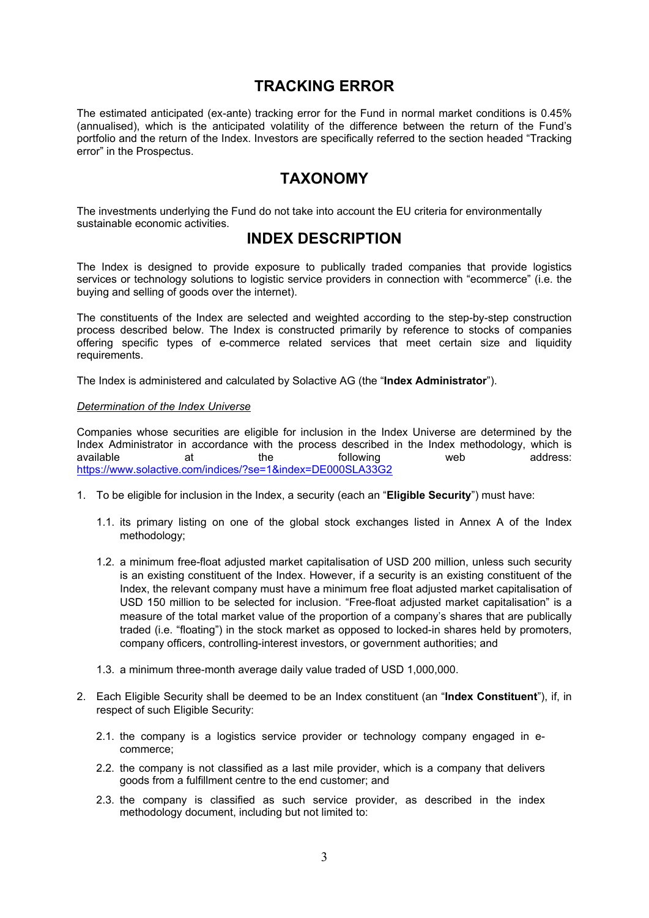### **TRACKING ERROR**

The estimated anticipated (ex-ante) tracking error for the Fund in normal market conditions is 0.45% (annualised), which is the anticipated volatility of the difference between the return of the Fund's portfolio and the return of the Index. Investors are specifically referred to the section headed "Tracking error" in the Prospectus.

### **TAXONOMY**

The investments underlying the Fund do not take into account the EU criteria for environmentally sustainable economic activities.

### **INDEX DESCRIPTION**

The Index is designed to provide exposure to publically traded companies that provide logistics services or technology solutions to logistic service providers in connection with "ecommerce" (i.e. the buying and selling of goods over the internet).

The constituents of the Index are selected and weighted according to the step-by-step construction process described below. The Index is constructed primarily by reference to stocks of companies offering specific types of e-commerce related services that meet certain size and liquidity requirements.

The Index is administered and calculated by Solactive AG (the "**Index Administrator**").

#### *Determination of the Index Universe*

Companies whose securities are eligible for inclusion in the Index Universe are determined by the Index Administrator in accordance with the process described in the Index methodology, which is available at the following web address: <https://www.solactive.com/indices/?se=1&index=DE000SLA33G2>

- 1. To be eligible for inclusion in the Index, a security (each an "**Eligible Security**") must have:
	- 1.1. its primary listing on one of the global stock exchanges listed in Annex A of the Index methodology;
	- 1.2. a minimum free-float adjusted market capitalisation of USD 200 million, unless such security is an existing constituent of the Index. However, if a security is an existing constituent of the Index, the relevant company must have a minimum free float adjusted market capitalisation of USD 150 million to be selected for inclusion. "Free-float adjusted market capitalisation" is a measure of the total market value of the proportion of a company's shares that are publically traded (i.e. "floating") in the stock market as opposed to locked-in shares held by promoters, company officers, controlling-interest investors, or government authorities; and
	- 1.3. a minimum three-month average daily value traded of USD 1,000,000.
- 2. Each Eligible Security shall be deemed to be an Index constituent (an "**Index Constituent**"), if, in respect of such Eligible Security:
	- 2.1. the company is a logistics service provider or technology company engaged in ecommerce;
	- 2.2. the company is not classified as a last mile provider, which is a company that delivers goods from a fulfillment centre to the end customer; and
	- 2.3. the company is classified as such service provider, as described in the index methodology document, including but not limited to: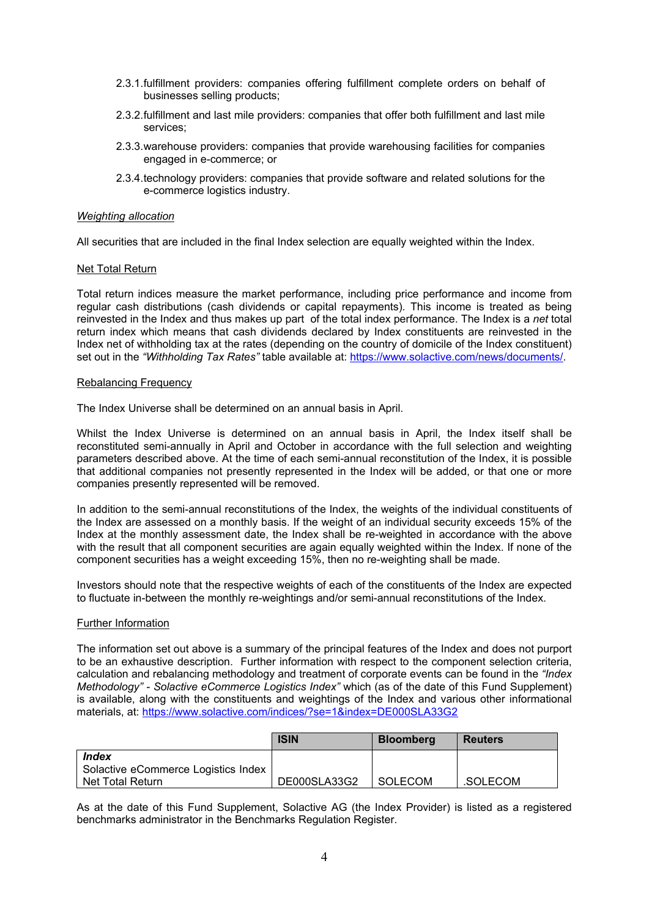- 2.3.1.fulfillment providers: companies offering fulfillment complete orders on behalf of businesses selling products;
- 2.3.2.fulfillment and last mile providers: companies that offer both fulfillment and last mile services;
- 2.3.3.warehouse providers: companies that provide warehousing facilities for companies engaged in e-commerce; or
- 2.3.4.technology providers: companies that provide software and related solutions for the e-commerce logistics industry.

#### *Weighting allocation*

All securities that are included in the final Index selection are equally weighted within the Index.

#### Net Total Return

Total return indices measure the market performance, including price performance and income from regular cash distributions (cash dividends or capital repayments). This income is treated as being reinvested in the Index and thus makes up part of the total index performance. The Index is a *net* total return index which means that cash dividends declared by Index constituents are reinvested in the Index net of withholding tax at the rates (depending on the country of domicile of the Index constituent) set out in the *"Withholding Tax Rates"* table available at: [https://www.solactive.com/news/documents/.](https://www.solactive.com/news/documents/)

#### Rebalancing Frequency

The Index Universe shall be determined on an annual basis in April.

Whilst the Index Universe is determined on an annual basis in April, the Index itself shall be reconstituted semi-annually in April and October in accordance with the full selection and weighting parameters described above. At the time of each semi-annual reconstitution of the Index, it is possible that additional companies not presently represented in the Index will be added, or that one or more companies presently represented will be removed.

In addition to the semi-annual reconstitutions of the Index, the weights of the individual constituents of the Index are assessed on a monthly basis. If the weight of an individual security exceeds 15% of the Index at the monthly assessment date, the Index shall be re-weighted in accordance with the above with the result that all component securities are again equally weighted within the Index. If none of the component securities has a weight exceeding 15%, then no re-weighting shall be made.

Investors should note that the respective weights of each of the constituents of the Index are expected to fluctuate in-between the monthly re-weightings and/or semi-annual reconstitutions of the Index.

#### Further Information

The information set out above is a summary of the principal features of the Index and does not purport to be an exhaustive description. Further information with respect to the component selection criteria, calculation and rebalancing methodology and treatment of corporate events can be found in the *"Index Methodology" - Solactive eCommerce Logistics Index"* which (as of the date of this Fund Supplement) is available, along with the constituents and weightings of the Index and various other informational materials, at: <https://www.solactive.com/indices/?se=1&index=DE000SLA33G2>

|                                              | <b>ISIN</b>  | <b>Bloomberg</b> | <b>Reuters</b> |
|----------------------------------------------|--------------|------------------|----------------|
| Index<br>Solactive eCommerce Logistics Index |              |                  |                |
| Net Total Return                             | DE000SLA33G2 | SOLECOM          | .SOLECOM       |

As at the date of this Fund Supplement, Solactive AG (the Index Provider) is listed as a registered benchmarks administrator in the Benchmarks Regulation Register.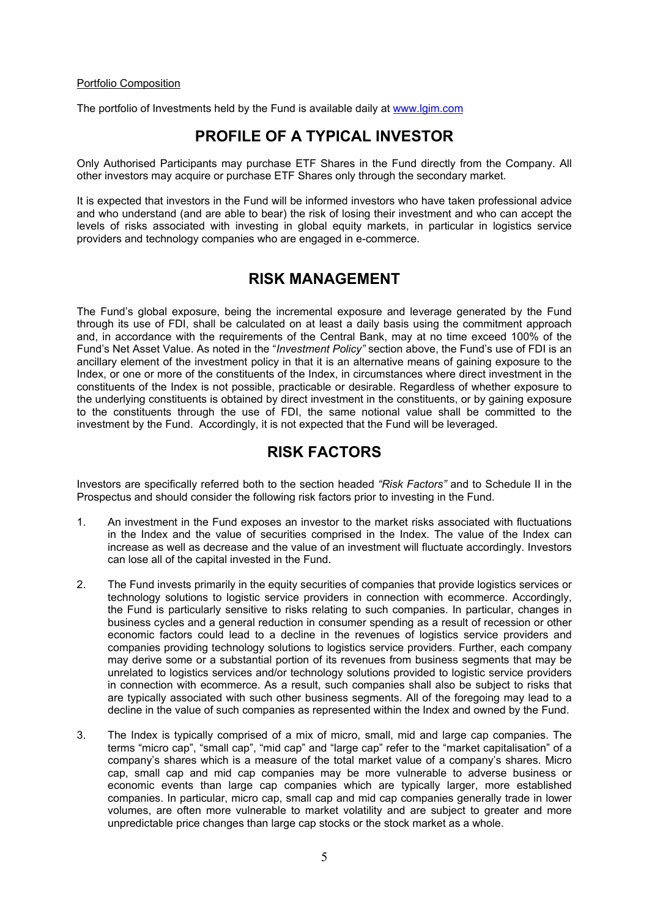#### Portfolio Composition

The portfolio of Investments held by the Fund is available daily at [www.lgim.com](http://www.lgim.com/)

### **PROFILE OF A TYPICAL INVESTOR**

Only Authorised Participants may purchase ETF Shares in the Fund directly from the Company. All other investors may acquire or purchase ETF Shares only through the secondary market.

It is expected that investors in the Fund will be informed investors who have taken professional advice and who understand (and are able to bear) the risk of losing their investment and who can accept the levels of risks associated with investing in global equity markets, in particular in logistics service providers and technology companies who are engaged in e-commerce.

### **RISK MANAGEMENT**

The Fund's global exposure, being the incremental exposure and leverage generated by the Fund through its use of FDI, shall be calculated on at least a daily basis using the commitment approach and, in accordance with the requirements of the Central Bank, may at no time exceed 100% of the Fund's Net Asset Value. As noted in the "*Investment Policy"* section above, the Fund's use of FDI is an ancillary element of the investment policy in that it is an alternative means of gaining exposure to the Index, or one or more of the constituents of the Index, in circumstances where direct investment in the constituents of the Index is not possible, practicable or desirable. Regardless of whether exposure to the underlying constituents is obtained by direct investment in the constituents, or by gaining exposure to the constituents through the use of FDI, the same notional value shall be committed to the investment by the Fund. Accordingly, it is not expected that the Fund will be leveraged.

### **RISK FACTORS**

Investors are specifically referred both to the section headed *"Risk Factors"* and to Schedule II in the Prospectus and should consider the following risk factors prior to investing in the Fund.

- 1. An investment in the Fund exposes an investor to the market risks associated with fluctuations in the Index and the value of securities comprised in the Index. The value of the Index can increase as well as decrease and the value of an investment will fluctuate accordingly. Investors can lose all of the capital invested in the Fund.
- 2. The Fund invests primarily in the equity securities of companies that provide logistics services or technology solutions to logistic service providers in connection with ecommerce. Accordingly, the Fund is particularly sensitive to risks relating to such companies. In particular, changes in business cycles and a general reduction in consumer spending as a result of recession or other economic factors could lead to a decline in the revenues of logistics service providers and companies providing technology solutions to logistics service providers. Further, each company may derive some or a substantial portion of its revenues from business segments that may be unrelated to logistics services and/or technology solutions provided to logistic service providers in connection with ecommerce. As a result, such companies shall also be subject to risks that are typically associated with such other business segments. All of the foregoing may lead to a decline in the value of such companies as represented within the Index and owned by the Fund.
- 3. The Index is typically comprised of a mix of micro, small, mid and large cap companies. The terms "micro cap", "small cap", "mid cap" and "large cap" refer to the "market capitalisation" of a company's shares which is a measure of the total market value of a company's shares. Micro cap, small cap and mid cap companies may be more vulnerable to adverse business or economic events than large cap companies which are typically larger, more established companies. In particular, micro cap, small cap and mid cap companies generally trade in lower volumes, are often more vulnerable to market volatility and are subject to greater and more unpredictable price changes than large cap stocks or the stock market as a whole.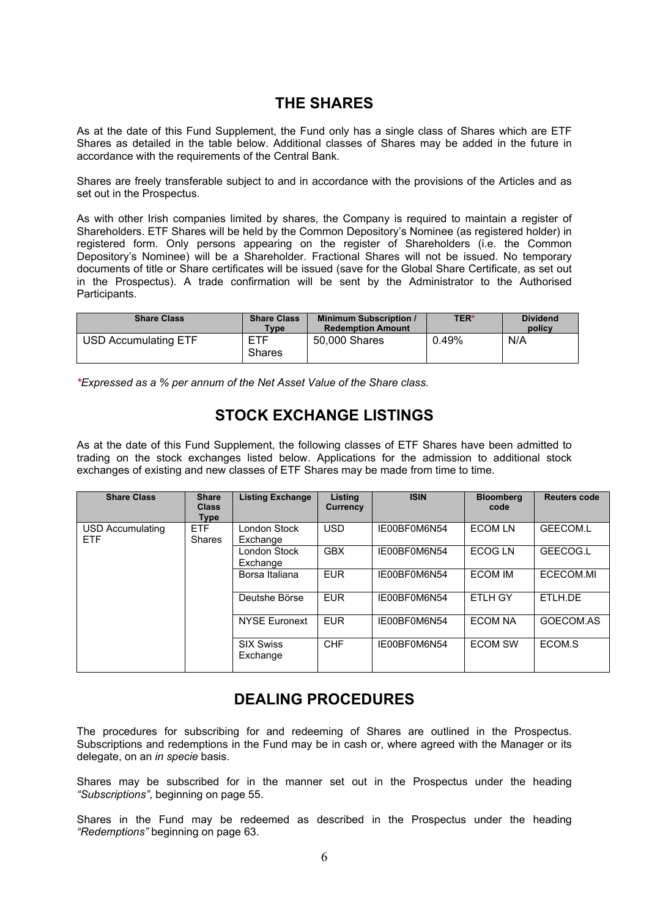## **THE SHARES**

As at the date of this Fund Supplement, the Fund only has a single class of Shares which are ETF Shares as detailed in the table below. Additional classes of Shares may be added in the future in accordance with the requirements of the Central Bank.

Shares are freely transferable subject to and in accordance with the provisions of the Articles and as set out in the Prospectus.

As with other Irish companies limited by shares, the Company is required to maintain a register of Shareholders. ETF Shares will be held by the Common Depository's Nominee (as registered holder) in registered form. Only persons appearing on the register of Shareholders (i.e. the Common Depository's Nominee) will be a Shareholder. Fractional Shares will not be issued. No temporary documents of title or Share certificates will be issued (save for the Global Share Certificate, as set out in the Prospectus). A trade confirmation will be sent by the Administrator to the Authorised Participants.

| <b>Share Class</b>          | <b>Share Class</b><br>Type | <b>Minimum Subscription /</b><br><b>Redemption Amount</b> | <b>TER*</b> | <b>Dividend</b><br>policy |
|-----------------------------|----------------------------|-----------------------------------------------------------|-------------|---------------------------|
| <b>USD Accumulating ETF</b> | ETF<br><b>Shares</b>       | 50,000 Shares                                             | 0.49%       | N/A                       |

*\*Expressed as a % per annum of the Net Asset Value of the Share class.* 

## **STOCK EXCHANGE LISTINGS**

As at the date of this Fund Supplement, the following classes of ETF Shares have been admitted to trading on the stock exchanges listed below. Applications for the admission to additional stock exchanges of existing and new classes of ETF Shares may be made from time to time.

| <b>Share Class</b>             | <b>Share</b><br><b>Class</b><br><b>Type</b> | <b>Listing Exchange</b>      | Listing<br>Currency | <b>ISIN</b>  | <b>Bloomberg</b><br>code | <b>Reuters code</b> |
|--------------------------------|---------------------------------------------|------------------------------|---------------------|--------------|--------------------------|---------------------|
| USD Accumulating<br><b>ETF</b> | <b>ETF</b><br><b>Shares</b>                 | London Stock<br>Exchange     | <b>USD</b>          | IE00BF0M6N54 | <b>ECOM LN</b>           | <b>GEECOM.L</b>     |
|                                |                                             | London Stock<br>Exchange     | <b>GBX</b>          | IE00BF0M6N54 | ECOG LN                  | GEECOG.L            |
|                                |                                             | Borsa Italiana               | <b>EUR</b>          | IE00BF0M6N54 | <b>ECOM IM</b>           | ECECOM.MI           |
|                                |                                             | Deutshe Börse                | <b>EUR</b>          | IE00BF0M6N54 | <b>ETLH GY</b>           | ETLH.DE             |
|                                |                                             | <b>NYSE Euronext</b>         | <b>EUR</b>          | IE00BF0M6N54 | <b>ECOM NA</b>           | GOECOM.AS           |
|                                |                                             | <b>SIX Swiss</b><br>Exchange | <b>CHF</b>          | IE00BF0M6N54 | <b>ECOM SW</b>           | ECOM.S              |

# **DEALING PROCEDURES**

The procedures for subscribing for and redeeming of Shares are outlined in the Prospectus. Subscriptions and redemptions in the Fund may be in cash or, where agreed with the Manager or its delegate, on an *in specie* basis.

Shares may be subscribed for in the manner set out in the Prospectus under the heading *"Subscriptions"*, beginning on page 55.

Shares in the Fund may be redeemed as described in the Prospectus under the heading *"Redemptions"* beginning on page 63.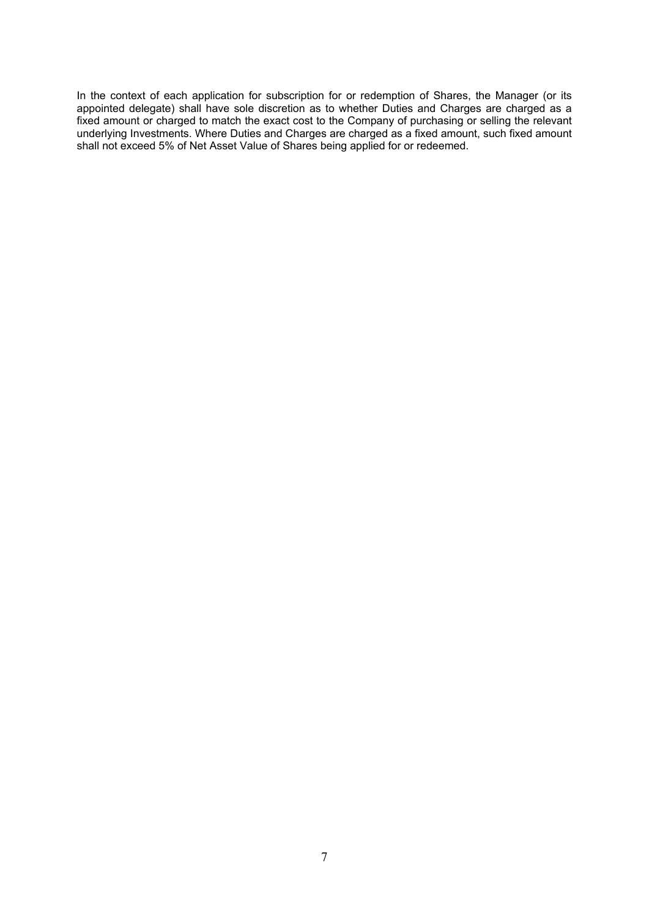In the context of each application for subscription for or redemption of Shares, the Manager (or its appointed delegate) shall have sole discretion as to whether Duties and Charges are charged as a fixed amount or charged to match the exact cost to the Company of purchasing or selling the relevant underlying Investments. Where Duties and Charges are charged as a fixed amount, such fixed amount shall not exceed 5% of Net Asset Value of Shares being applied for or redeemed.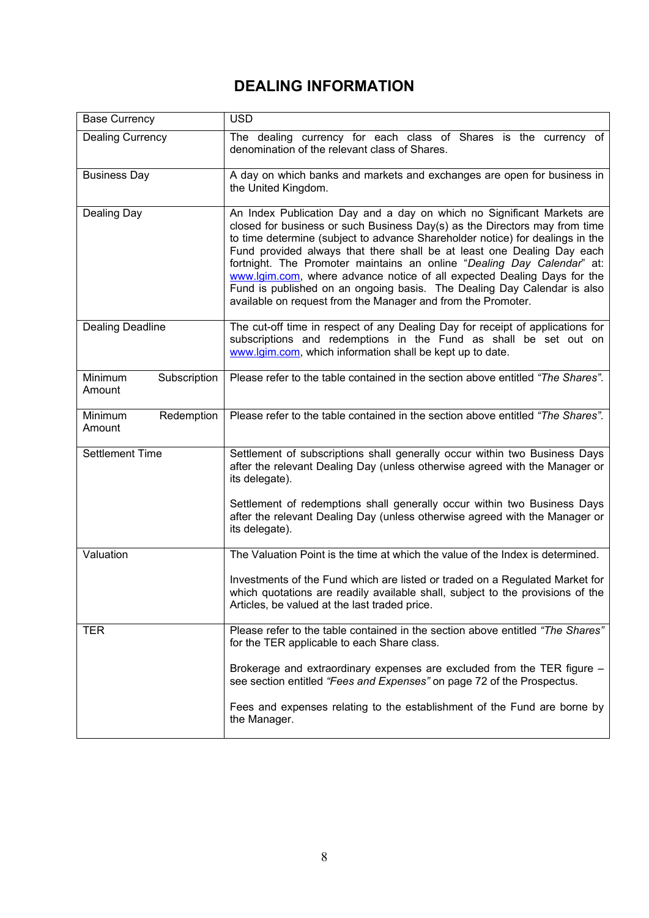# **DEALING INFORMATION**

| <b>Base Currency</b>              | <b>USD</b>                                                                                                                                                                                                                                                                                                                                                                                                                                                                                                                                                                                                      |
|-----------------------------------|-----------------------------------------------------------------------------------------------------------------------------------------------------------------------------------------------------------------------------------------------------------------------------------------------------------------------------------------------------------------------------------------------------------------------------------------------------------------------------------------------------------------------------------------------------------------------------------------------------------------|
| <b>Dealing Currency</b>           | The dealing currency for each class of Shares is the currency of<br>denomination of the relevant class of Shares.                                                                                                                                                                                                                                                                                                                                                                                                                                                                                               |
| <b>Business Day</b>               | A day on which banks and markets and exchanges are open for business in<br>the United Kingdom.                                                                                                                                                                                                                                                                                                                                                                                                                                                                                                                  |
| Dealing Day                       | An Index Publication Day and a day on which no Significant Markets are<br>closed for business or such Business Day(s) as the Directors may from time<br>to time determine (subject to advance Shareholder notice) for dealings in the<br>Fund provided always that there shall be at least one Dealing Day each<br>fortnight. The Promoter maintains an online "Dealing Day Calendar" at:<br>www.lgim.com, where advance notice of all expected Dealing Days for the<br>Fund is published on an ongoing basis. The Dealing Day Calendar is also<br>available on request from the Manager and from the Promoter. |
| <b>Dealing Deadline</b>           | The cut-off time in respect of any Dealing Day for receipt of applications for<br>subscriptions and redemptions in the Fund as shall be set out on<br>www.lgim.com, which information shall be kept up to date.                                                                                                                                                                                                                                                                                                                                                                                                 |
| Minimum<br>Subscription<br>Amount | Please refer to the table contained in the section above entitled "The Shares".                                                                                                                                                                                                                                                                                                                                                                                                                                                                                                                                 |
| Minimum<br>Redemption<br>Amount   | Please refer to the table contained in the section above entitled "The Shares".                                                                                                                                                                                                                                                                                                                                                                                                                                                                                                                                 |
| <b>Settlement Time</b>            | Settlement of subscriptions shall generally occur within two Business Days<br>after the relevant Dealing Day (unless otherwise agreed with the Manager or<br>its delegate).                                                                                                                                                                                                                                                                                                                                                                                                                                     |
|                                   | Settlement of redemptions shall generally occur within two Business Days<br>after the relevant Dealing Day (unless otherwise agreed with the Manager or<br>its delegate).                                                                                                                                                                                                                                                                                                                                                                                                                                       |
| Valuation                         | The Valuation Point is the time at which the value of the Index is determined.                                                                                                                                                                                                                                                                                                                                                                                                                                                                                                                                  |
|                                   | Investments of the Fund which are listed or traded on a Regulated Market for<br>which quotations are readily available shall, subject to the provisions of the<br>Articles, be valued at the last traded price.                                                                                                                                                                                                                                                                                                                                                                                                 |
| TER.                              | Please refer to the table contained in the section above entitled "The Shares"<br>for the TER applicable to each Share class.                                                                                                                                                                                                                                                                                                                                                                                                                                                                                   |
|                                   | Brokerage and extraordinary expenses are excluded from the TER figure -<br>see section entitled "Fees and Expenses" on page 72 of the Prospectus.                                                                                                                                                                                                                                                                                                                                                                                                                                                               |
|                                   | Fees and expenses relating to the establishment of the Fund are borne by<br>the Manager.                                                                                                                                                                                                                                                                                                                                                                                                                                                                                                                        |